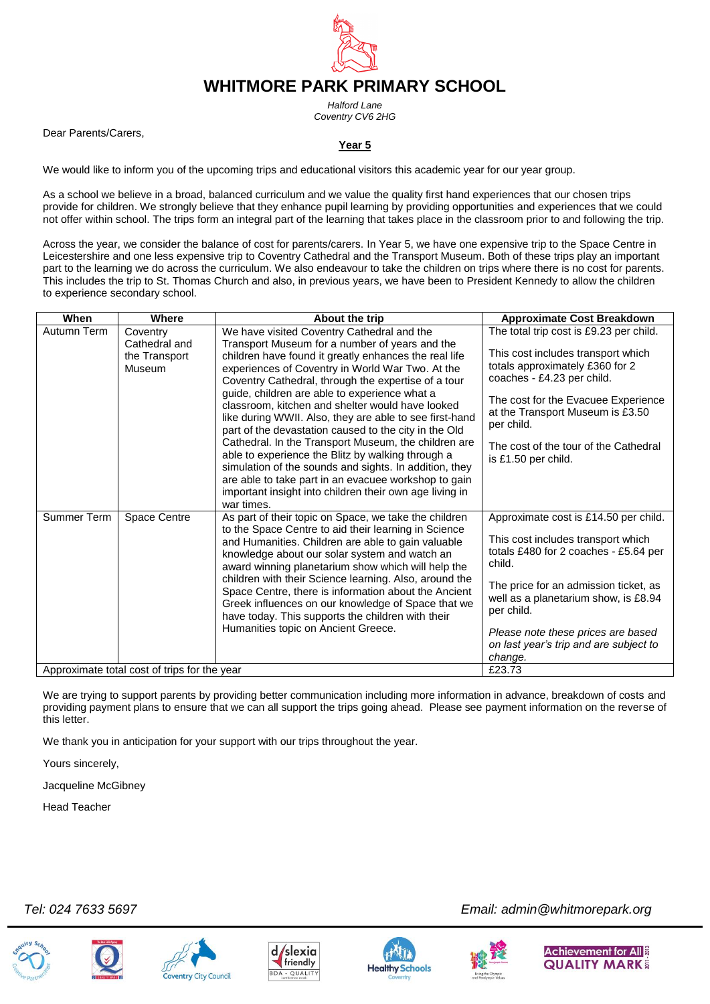

*Halford Lane Coventry CV6 2HG*

Dear Parents/Carers,

## **Year 5**

We would like to inform you of the upcoming trips and educational visitors this academic year for our year group.

As a school we believe in a broad, balanced curriculum and we value the quality first hand experiences that our chosen trips provide for children. We strongly believe that they enhance pupil learning by providing opportunities and experiences that we could not offer within school. The trips form an integral part of the learning that takes place in the classroom prior to and following the trip.

Across the year, we consider the balance of cost for parents/carers. In Year 5, we have one expensive trip to the Space Centre in Leicestershire and one less expensive trip to Coventry Cathedral and the Transport Museum. Both of these trips play an important part to the learning we do across the curriculum. We also endeavour to take the children on trips where there is no cost for parents. This includes the trip to St. Thomas Church and also, in previous years, we have been to President Kennedy to allow the children to experience secondary school.

| When                                         | Where                                                | About the trip                                                                                                                                                                                                                                                                                                                                                                                                                                                                                                                                 | <b>Approximate Cost Breakdown</b>                                                                                                                                                                                                                                                                             |
|----------------------------------------------|------------------------------------------------------|------------------------------------------------------------------------------------------------------------------------------------------------------------------------------------------------------------------------------------------------------------------------------------------------------------------------------------------------------------------------------------------------------------------------------------------------------------------------------------------------------------------------------------------------|---------------------------------------------------------------------------------------------------------------------------------------------------------------------------------------------------------------------------------------------------------------------------------------------------------------|
| Autumn Term                                  | Coventry<br>Cathedral and<br>the Transport<br>Museum | We have visited Coventry Cathedral and the<br>Transport Museum for a number of years and the<br>children have found it greatly enhances the real life<br>experiences of Coventry in World War Two. At the<br>Coventry Cathedral, through the expertise of a tour                                                                                                                                                                                                                                                                               | The total trip cost is £9.23 per child.<br>This cost includes transport which<br>totals approximately £360 for 2<br>coaches - £4.23 per child.                                                                                                                                                                |
|                                              |                                                      | guide, children are able to experience what a<br>classroom, kitchen and shelter would have looked<br>like during WWII. Also, they are able to see first-hand<br>part of the devastation caused to the city in the Old                                                                                                                                                                                                                                                                                                                          | The cost for the Evacuee Experience<br>at the Transport Museum is £3.50<br>per child.                                                                                                                                                                                                                         |
|                                              |                                                      | Cathedral. In the Transport Museum, the children are<br>able to experience the Blitz by walking through a<br>simulation of the sounds and sights. In addition, they<br>are able to take part in an evacuee workshop to gain<br>important insight into children their own age living in<br>war times.                                                                                                                                                                                                                                           | The cost of the tour of the Cathedral<br>is £1.50 per child.                                                                                                                                                                                                                                                  |
| Summer Term                                  | Space Centre                                         | As part of their topic on Space, we take the children<br>to the Space Centre to aid their learning in Science<br>and Humanities. Children are able to gain valuable<br>knowledge about our solar system and watch an<br>award winning planetarium show which will help the<br>children with their Science learning. Also, around the<br>Space Centre, there is information about the Ancient<br>Greek influences on our knowledge of Space that we<br>have today. This supports the children with their<br>Humanities topic on Ancient Greece. | Approximate cost is £14.50 per child.<br>This cost includes transport which<br>totals £480 for 2 coaches - £5.64 per<br>child.<br>The price for an admission ticket, as<br>well as a planetarium show, is £8.94<br>per child.<br>Please note these prices are based<br>on last year's trip and are subject to |
|                                              |                                                      |                                                                                                                                                                                                                                                                                                                                                                                                                                                                                                                                                | change.                                                                                                                                                                                                                                                                                                       |
| Approximate total cost of trips for the year |                                                      |                                                                                                                                                                                                                                                                                                                                                                                                                                                                                                                                                | £23.73                                                                                                                                                                                                                                                                                                        |

We are trying to support parents by providing better communication including more information in advance, breakdown of costs and providing payment plans to ensure that we can all support the trips going ahead. Please see payment information on the reverse of this letter.

We thank you in anticipation for your support with our trips throughout the year.

Yours sincerely,

Jacqueline McGibney

Head Teacher











 *Tel: 024 7633 5697 Email: admin@whitmorepark.org*